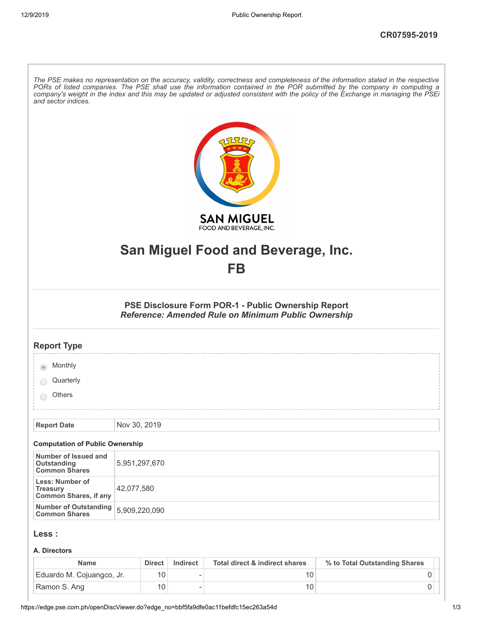| and sector indices.                                                       | The PSE makes no representation on the accuracy, validity, correctness and completeness of the information stated in the respective<br>PORs of listed companies. The PSE shall use the information contained in the POR submitted by the company in computing a<br>company's weight in the index and this may be updated or adjusted consistent with the policy of the Exchange in managing the PSEi |
|---------------------------------------------------------------------------|------------------------------------------------------------------------------------------------------------------------------------------------------------------------------------------------------------------------------------------------------------------------------------------------------------------------------------------------------------------------------------------------------|
|                                                                           | <b>SAN MIGUEL</b><br>FOOD AND BEVERAGE, INC.                                                                                                                                                                                                                                                                                                                                                         |
|                                                                           |                                                                                                                                                                                                                                                                                                                                                                                                      |
|                                                                           | San Miguel Food and Beverage, Inc.                                                                                                                                                                                                                                                                                                                                                                   |
|                                                                           | FB                                                                                                                                                                                                                                                                                                                                                                                                   |
|                                                                           | PSE Disclosure Form POR-1 - Public Ownership Report<br>Reference: Amended Rule on Minimum Public Ownership                                                                                                                                                                                                                                                                                           |
| <b>Report Type</b>                                                        |                                                                                                                                                                                                                                                                                                                                                                                                      |
| Monthly                                                                   |                                                                                                                                                                                                                                                                                                                                                                                                      |
| Quarterly                                                                 |                                                                                                                                                                                                                                                                                                                                                                                                      |
| Others                                                                    |                                                                                                                                                                                                                                                                                                                                                                                                      |
|                                                                           |                                                                                                                                                                                                                                                                                                                                                                                                      |
| <b>Report Date</b>                                                        | Nov 30, 2019                                                                                                                                                                                                                                                                                                                                                                                         |
| <b>Computation of Public Ownership</b>                                    |                                                                                                                                                                                                                                                                                                                                                                                                      |
| Number of Issued and<br>Outstanding<br><b>Common Shares</b>               | 5,951,297,670                                                                                                                                                                                                                                                                                                                                                                                        |
| <b>Less: Number of</b><br><b>Treasury</b><br><b>Common Shares, if any</b> | 42,077,580                                                                                                                                                                                                                                                                                                                                                                                           |
| <b>Number of Outstanding</b><br><b>Common Shares</b>                      | 5,909,220,090                                                                                                                                                                                                                                                                                                                                                                                        |
| Less :                                                                    |                                                                                                                                                                                                                                                                                                                                                                                                      |
| A. Directors                                                              |                                                                                                                                                                                                                                                                                                                                                                                                      |
|                                                                           |                                                                                                                                                                                                                                                                                                                                                                                                      |

| Name                      | <b>Direct</b> | Indirect | Total direct & indirect shares | % to Total Outstanding Shares |
|---------------------------|---------------|----------|--------------------------------|-------------------------------|
| Eduardo M. Cojuangco, Jr. |               |          |                                |                               |
| Ramon S. Ang              |               |          |                                |                               |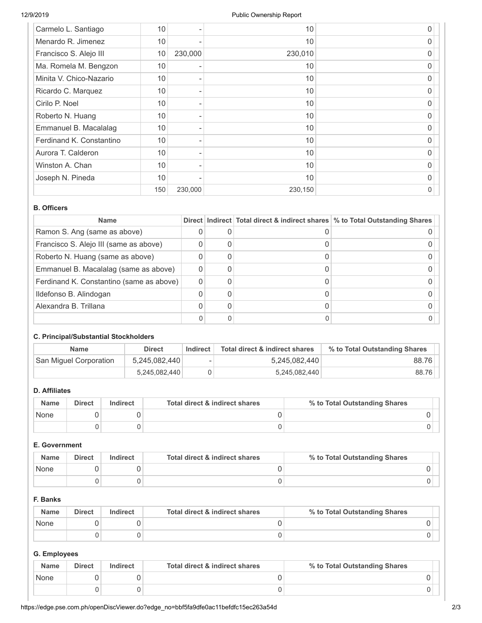| Carmelo L. Santiago      | 10  |         | 10      | 0 |
|--------------------------|-----|---------|---------|---|
| Menardo R. Jimenez       | 10  |         | 10      | 0 |
| Francisco S. Alejo III   | 10  | 230,000 | 230,010 | O |
| Ma. Romela M. Bengzon    | 10  |         | 10      | O |
| Minita V. Chico-Nazario  | 10  |         | 10      | 0 |
| Ricardo C. Marquez       | 10  |         | 10      | 0 |
| Cirilo P. Noel           | 10  |         | 10      | O |
| Roberto N. Huang         | 10  |         | 10      | 0 |
| Emmanuel B. Macalalag    | 10  |         | 10      | 0 |
| Ferdinand K. Constantino | 10  |         | 10      | O |
| Aurora T. Calderon       | 10  |         | 10      | 0 |
| Winston A. Chan          | 10  |         | 10      | 0 |
| Joseph N. Pineda         | 10  |         | 10      | 0 |
|                          | 150 | 230,000 | 230,150 | 0 |

### **B. Officers**

| <b>Name</b>                              |  | Direct   Indirect   Total direct & indirect shares   % to Total Outstanding Shares |
|------------------------------------------|--|------------------------------------------------------------------------------------|
| Ramon S. Ang (same as above)             |  |                                                                                    |
| Francisco S. Alejo III (same as above)   |  |                                                                                    |
| Roberto N. Huang (same as above)         |  |                                                                                    |
| Emmanuel B. Macalalag (same as above)    |  |                                                                                    |
| Ferdinand K. Constantino (same as above) |  |                                                                                    |
| Ildefonso B. Alindogan                   |  |                                                                                    |
| Alexandra B. Trillana                    |  |                                                                                    |
|                                          |  |                                                                                    |

### **C. Principal/Substantial Stockholders**

| <b>Name</b>            | <b>Direct</b> | Indirect | Total direct & indirect shares | % to Total Outstanding Shares |
|------------------------|---------------|----------|--------------------------------|-------------------------------|
| San Miguel Corporation | 5,245,082,440 | ۰        | 5,245,082,440                  | 88.76                         |
|                        | 5,245,082,440 |          | 5,245,082,440                  | 88.76                         |

# **D. Affiliates**

| <b>Name</b> | <b>Direct</b> | Indirect | Total direct & indirect shares | % to Total Outstanding Shares |
|-------------|---------------|----------|--------------------------------|-------------------------------|
| None        |               |          |                                |                               |
|             |               |          |                                |                               |

### **E. Government**

| <b>Name</b> | <b>Direct</b> | Indirect | Total direct & indirect shares | % to Total Outstanding Shares |
|-------------|---------------|----------|--------------------------------|-------------------------------|
| None        |               |          |                                |                               |
|             |               |          |                                |                               |

# **F. Banks**

| <b>Name</b> | <b>Direct</b> | Indirect | Total direct & indirect shares | % to Total Outstanding Shares |
|-------------|---------------|----------|--------------------------------|-------------------------------|
| None        |               |          |                                |                               |
|             |               |          |                                |                               |

# **G. Employees**

| <b>Name</b> | <b>Direct</b> | Indirect | Total direct & indirect shares | % to Total Outstanding Shares |
|-------------|---------------|----------|--------------------------------|-------------------------------|
| None        |               |          |                                |                               |
|             |               |          |                                |                               |